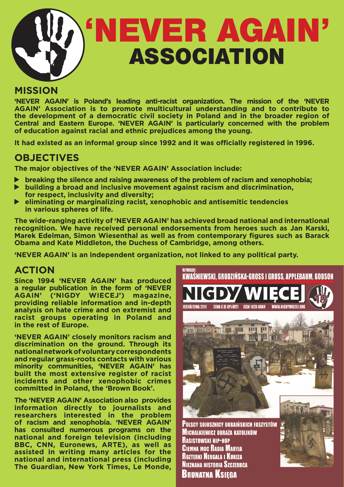

## **MISSION**

**'NEVER AGAIN' is Poland's leading anti-racist organization. The mission of the 'NEVER AGAIN' Association is to promote multicultural understanding and to contribute to the development of a democratic civil society in Poland and in the broader region of Central and Eastern Europe. 'NEVER AGAIN' is particularly concerned with the problem of education against racial and ethnic prejudices among the young.**

**It had existed as an informal group since 1992 and it was officially registered in 1996.**

## **OBJECTIVES**

**The major objectives of the 'NEVER AGAIN' Association include:**

- **breaking the silence and raising awareness of the problem of racism and xenophobia;**
- **building a broad and inclusive movement against racism and discrimination, for respect, inclusivity and diversity;**
- **eliminating or marginalizing racist, xenophobic and antisemitic tendencies in various spheres of life.**

**The wide-ranging activity of 'NEVER AGAIN' has achieved broad national and international recognition. We have received personal endorsements from heroes such as Jan Karski, Marek Edelman, Simon Wiesenthal as well as from contemporary figures such as Barack Obama and Kate Middleton, the Duchess of Cambridge, among others.** 

**'NEVER AGAIN' is an independent organization, not linked to any political party.**

## **ACTION**

**Since 1994 'NEVER AGAIN' has produced a regular publication in the form of 'NEVER AGAIN' ('NIGDY WIECEJ') magazine, providing reliable information and in-depth analysis on hate crime and on extremist and racist groups operating in Poland and in the rest of Europe.**

**'NEVER AGAIN' closely monitors racism and discrimination on the ground. Through its national network of voluntary correspondents and regular grass-roots contacts with various minority communities, 'NEVER AGAIN' has built the most extensive register of racist incidents and other xenophobic crimes committed in Poland, the 'Brown Book'.**

**The 'NEVER AGAIN' Association also provides information directly to journalists and researchers interested in the problem of racism and xenophobia. 'NEVER AGAIN' has consulted numerous programs on the national and foreign television (including BBC, CNN, Euronews, ARTE), as well as assisted in writing many articles for the national and international press (including The Guardian, New York Times, Le Monde,**